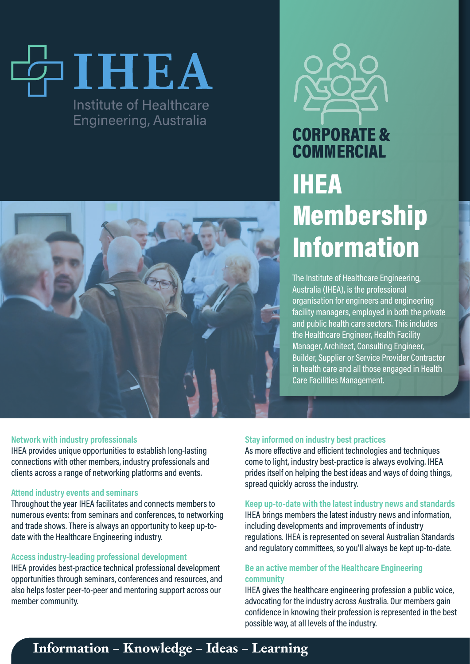# IHEA Institute of Healthcare **Engineering, Australia**



# CORPORATE & **COMMERCIAL** IHEA Membership Information

The Institute of Healthcare Engineering, Australia (IHEA), is the professional organisation for engineers and engineering facility managers, employed in both the private and public health care sectors. This includes the Healthcare Engineer, Health Facility Manager, Architect, Consulting Engineer, Builder, Supplier or Service Provider Contractor in health care and all those engaged in Health Care Facilities Management.

#### **Network with industry professionals**

IHEA provides unique opportunities to establish long-lasting connections with other members, industry professionals and clients across a range of networking platforms and events.

#### **Attend industry events and seminars**

Throughout the year IHEA facilitates and connects members to numerous events: from seminars and conferences, to networking and trade shows. There is always an opportunity to keep up-todate with the Healthcare Engineering industry.

## **Access industry-leading professional development**

IHEA provides best-practice technical professional development opportunities through seminars, conferences and resources, and also helps foster peer-to-peer and mentoring support across our member community.

## **Stay informed on industry best practices**

As more effective and efficient technologies and techniques come to light, industry best-practice is always evolving. IHEA prides itself on helping the best ideas and ways of doing things, spread quickly across the industry.

**Keep up-to-date with the latest industry news and standards** IHEA brings members the latest industry news and information, including developments and improvements of industry regulations. IHEA is represented on several Australian Standards and regulatory committees, so you'll always be kept up-to-date.

## **Be an active member of the Healthcare Engineering community**

IHEA gives the healthcare engineering profession a public voice, advocating for the industry across Australia. Our members gain confidence in knowing their profession is represented in the best possible way, at all levels of the industry.

## **Information – Knowledge – Ideas – Learning**